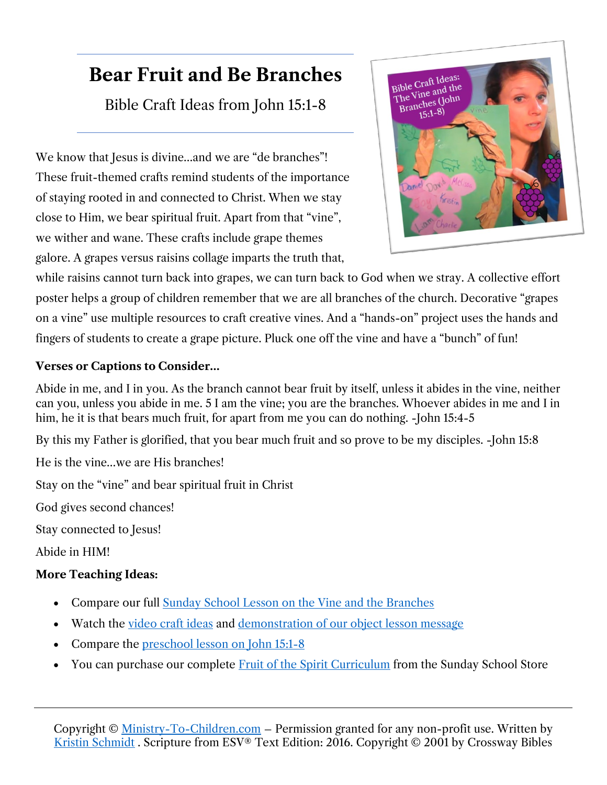# **Bear Fruit and Be Branches**

Bible Craft Ideas from John 15:1-8

We know that Jesus is divine...and we are "de branches"! These fruit-themed crafts remind students of the importance of staying rooted in and connected to Christ. When we stay close to Him, we bear spiritual fruit. Apart from that "vine", we wither and wane. These crafts include grape themes galore. A grapes versus raisins collage imparts the truth that,



while raisins cannot turn back into grapes, we can turn back to God when we stray. A collective effort poster helps a group of children remember that we are all branches of the church. Decorative "grapes on a vine" use multiple resources to craft creative vines. And a "hands-on" project uses the hands and fingers of students to create a grape picture. Pluck one off the vine and have a "bunch" of fun!

#### **Verses or Captions to Consider…**

Abide in me, and I in you. As the branch cannot bear fruit by itself, unless it abides in the vine, neither can you, unless you abide in me. 5 I am the vine; you are the branches. Whoever abides in me and I in him, he it is that bears much fruit, for apart from me you can do nothing. -John 15:4-5

By this my Father is glorified, that you bear much fruit and so prove to be my disciples. -John 15:8

He is the vine…we are His branches!

Stay on the "vine" and bear spiritual fruit in Christ

God gives second chances!

Stay connected to Jesus!

Abide in HIM!

### **More Teaching Ideas:**

- Compare our full [Sunday School Lesson on the Vine and the Branches](https://ministry-to-children.com/the-seven-i-am-statements-of-jesus-lesson-8/)
- Watch the video [craft ideas](https://youtu.be/30aBsTVO8Xs) and [demonstration of our object lesson message](https://youtu.be/ZNnmQOCWT30)
- Compare the [preschool lesson on John 15:1-8](https://ministry-to-children.com/preschool-bible-lesson-jesus-is-the-the-vine/)
- You can purchase our complete Fruit of the [Spirit Curriculum](https://sundayschool.store/collections/curriculum/products/the-fruit-of-the-spirit-curriculum) from the Sunday School Store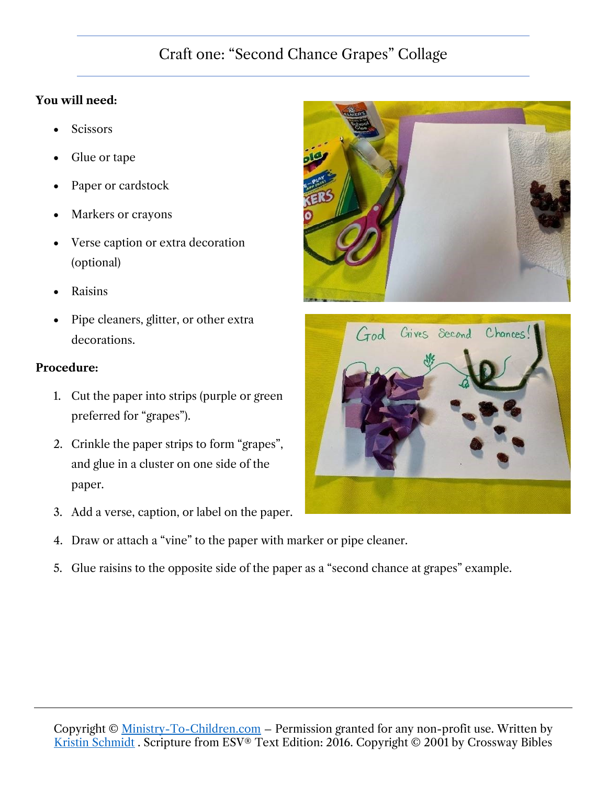# Craft one: "Second Chance Grapes" Collage

### **You will need:**

- Scissors
- Glue or tape
- Paper or cardstock
- Markers or crayons
- Verse caption or extra decoration (optional)
- Raisins
- Pipe cleaners, glitter, or other extra decorations.

#### **Procedure:**

- 1. Cut the paper into strips (purple or green preferred for "grapes").
- 2. Crinkle the paper strips to form "grapes", and glue in a cluster on one side of the paper.
- 3. Add a verse, caption, or label on the paper.
- 4. Draw or attach a "vine" to the paper with marker or pipe cleaner.
- 5. Glue raisins to the opposite side of the paper as a "second chance at grapes" example.



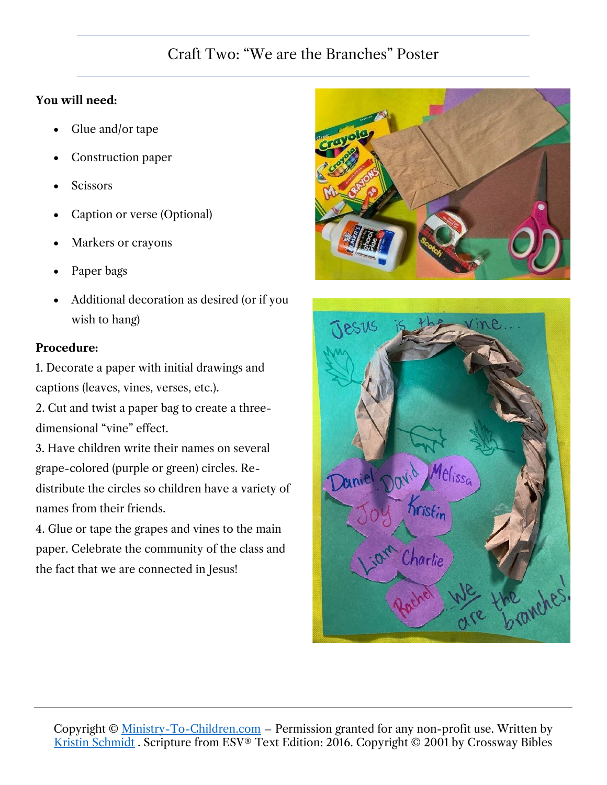### Craft Two: "We are the Branches" Poster

#### **You will need:**

- Glue and/or tape
- Construction paper
- **Scissors**
- Caption or verse (Optional)
- Markers or crayons
- Paper bags
- Additional decoration as desired (or if you wish to hang)

#### **Procedure:**

1. Decorate a paper with initial drawings and captions (leaves, vines, verses, etc.).

2. Cut and twist a paper bag to create a threedimensional "vine" effect.

3. Have children write their names on several grape-colored (purple or green) circles. Redistribute the circles so children have a variety of names from their friends.

4. Glue or tape the grapes and vines to the main paper. Celebrate the community of the class and the fact that we are connected in Jesus!



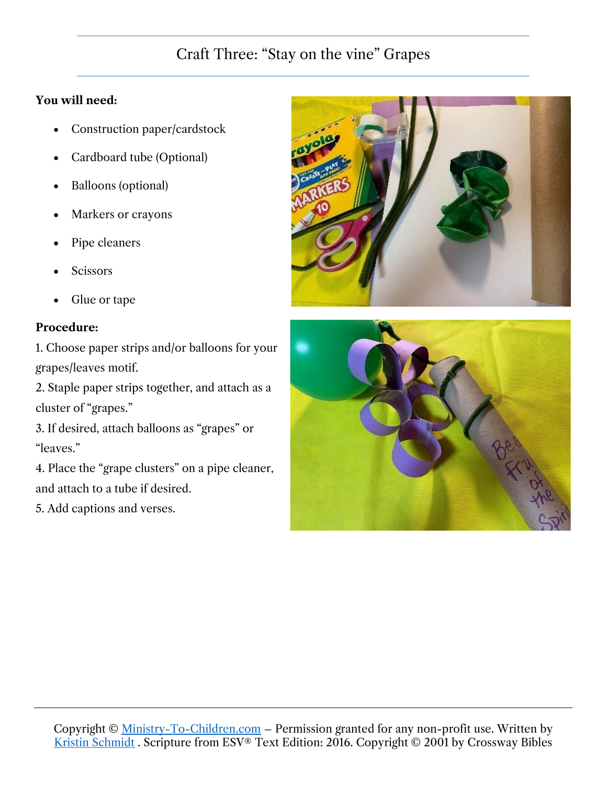# Craft Three: "Stay on the vine" Grapes

#### **You will need:**

- Construction paper/cardstock
- Cardboard tube (Optional)
- Balloons (optional)
- Markers or crayons
- Pipe cleaners
- **Scissors**
- Glue or tape

### **Procedure:**

1. Choose paper strips and/or balloons for your grapes/leaves motif.

2. Staple paper strips together, and attach as a cluster of "grapes."

3. If desired, attach balloons as "grapes" or "leaves."

4. Place the "grape clusters" on a pipe cleaner, and attach to a tube if desired.

5. Add captions and verses.



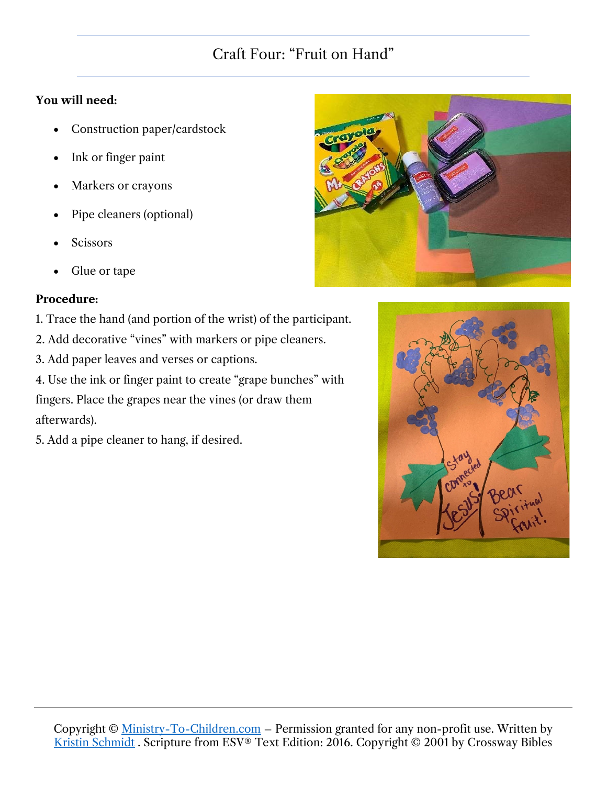# Craft Four: "Fruit on Hand"

#### **You will need:**

- Construction paper/cardstock
- Ink or finger paint
- Markers or crayons
- Pipe cleaners (optional)
- **Scissors**
- Glue or tape

#### **Procedure:**

- 1. Trace the hand (and portion of the wrist) of the participant.
- 2. Add decorative "vines" with markers or pipe cleaners.

3. Add paper leaves and verses or captions.

4. Use the ink or finger paint to create "grape bunches" with fingers. Place the grapes near the vines (or draw them afterwards).

5. Add a pipe cleaner to hang, if desired.